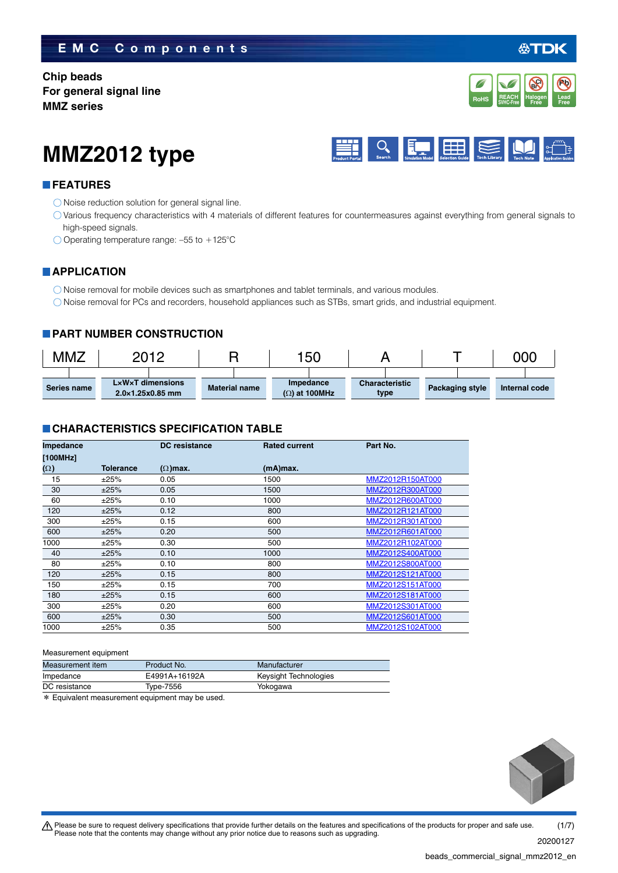### **EMC Components**

**Chip beads For general signal line MMZ series**



公TDK





### **FEATURES**

- $\bigcirc$  Noise reduction solution for general signal line.
- Various frequency characteristics with 4 materials of different features for countermeasures against everything from general signals to high-speed signals.
- Operating temperature range: –55 to +125°C

### **APPLICATION**

O Noise removal for mobile devices such as smartphones and tablet terminals, and various modules.

Noise removal for PCs and recorders, household appliances such as STBs, smart grids, and industrial equipment.

### **PART NUMBER CONSTRUCTION**

| <b>MMZ</b>  | 2012                                             |                      | 150                               |                               |                        | 000           |
|-------------|--------------------------------------------------|----------------------|-----------------------------------|-------------------------------|------------------------|---------------|
| Series name | LxWxT dimensions<br>$2.0\times1.25\times0.85$ mm | <b>Material name</b> | Impedance<br>$(\Omega)$ at 100MHz | <b>Characteristic</b><br>type | <b>Packaging style</b> | Internal code |

### **CHARACTERISTICS SPECIFICATION TABLE**

| Impedance  |                  | <b>DC</b> resistance | <b>Rated current</b> | Part No.         |
|------------|------------------|----------------------|----------------------|------------------|
| [100MHz]   |                  |                      |                      |                  |
| $(\Omega)$ | <b>Tolerance</b> | $(\Omega)$ max.      | (mA)max.             |                  |
| 15         | ±25%             | 0.05                 | 1500                 | MMZ2012R150AT000 |
| 30         | ±25%             | 0.05                 | 1500                 | MMZ2012R300AT000 |
| 60         | ±25%             | 0.10                 | 1000                 | MMZ2012R600AT000 |
| 120        | ±25%             | 0.12                 | 800                  | MMZ2012R121AT000 |
| 300        | ±25%             | 0.15                 | 600                  | MMZ2012R301AT000 |
| 600        | ±25%             | 0.20                 | 500                  | MMZ2012R601AT000 |
| 1000       | ±25%             | 0.30                 | 500                  | MMZ2012R102AT000 |
| 40         | ±25%             | 0.10                 | 1000                 | MMZ2012S400AT000 |
| 80         | ±25%             | 0.10                 | 800                  | MMZ2012S800AT000 |
| 120        | ±25%             | 0.15                 | 800                  | MMZ2012S121AT000 |
| 150        | ±25%             | 0.15                 | 700                  | MMZ2012S151AT000 |
| 180        | ±25%             | 0.15                 | 600                  | MMZ2012S181AT000 |
| 300        | ±25%             | 0.20                 | 600                  | MMZ2012S301AT000 |
| 600        | ±25%             | 0.30                 | 500                  | MMZ2012S601AT000 |
| 1000       | ±25%             | 0.35                 | 500                  | MMZ2012S102AT000 |

#### Measurement equipment

| Measurement item | Product No.   | Manufacturer          |
|------------------|---------------|-----------------------|
| Impedance        | E4991A+16192A | Keysight Technologies |
| DC resistance    | Type-7556     | Yokogawa              |
| .                |               |                       |

\* Equivalent measurement equipment may be used.



 $\bigwedge$  Please be sure to request delivery specifications that provide further details on the features and specifications of the products for proper and safe use. Please note that the contents may change without any prior notice due to reasons such as upgrading. (1/7)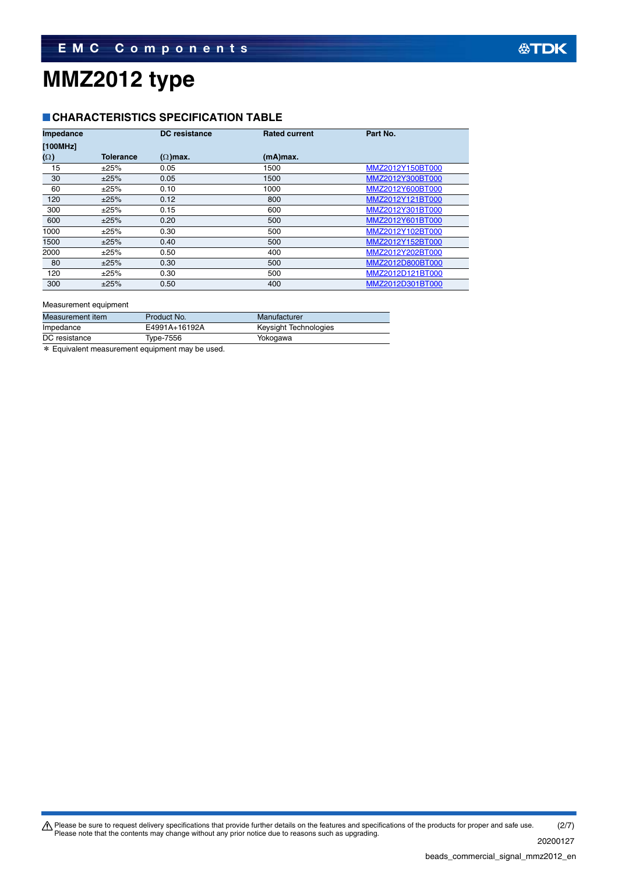### **CHARACTERISTICS SPECIFICATION TABLE**

| Impedance  |           | <b>DC</b> resistance | <b>Rated current</b> | Part No.         |
|------------|-----------|----------------------|----------------------|------------------|
| [100MHz]   |           |                      |                      |                  |
| $(\Omega)$ | Tolerance | $(\Omega)$ max.      | (mA)max.             |                  |
| 15         | ±25%      | 0.05                 | 1500                 | MMZ2012Y150BT000 |
| 30         | ±25%      | 0.05                 | 1500                 | MMZ2012Y300BT000 |
| 60         | ±25%      | 0.10                 | 1000                 | MMZ2012Y600BT000 |
| 120        | ±25%      | 0.12                 | 800                  | MMZ2012Y121BT000 |
| 300        | ±25%      | 0.15                 | 600                  | MMZ2012Y301BT000 |
| 600        | ±25%      | 0.20                 | 500                  | MMZ2012Y601BT000 |
| 1000       | ±25%      | 0.30                 | 500                  | MMZ2012Y102BT000 |
| 1500       | ±25%      | 0.40                 | 500                  | MMZ2012Y152BT000 |
| 2000       | ±25%      | 0.50                 | 400                  | MMZ2012Y202BT000 |
| 80         | ±25%      | 0.30                 | 500                  | MMZ2012D800BT000 |
| 120        | ±25%      | 0.30                 | 500                  | MMZ2012D121BT000 |
| 300        | ±25%      | 0.50                 | 400                  | MMZ2012D301BT000 |

#### Measurement equipment

| Measurement item | Product No.   | Manufacturer          |
|------------------|---------------|-----------------------|
| Impedance        | E4991A+16192A | Keysight Technologies |
| DC resistance    | Type-7556     | Yokogawa              |
|                  |               |                       |

\* Equivalent measurement equipment may be used.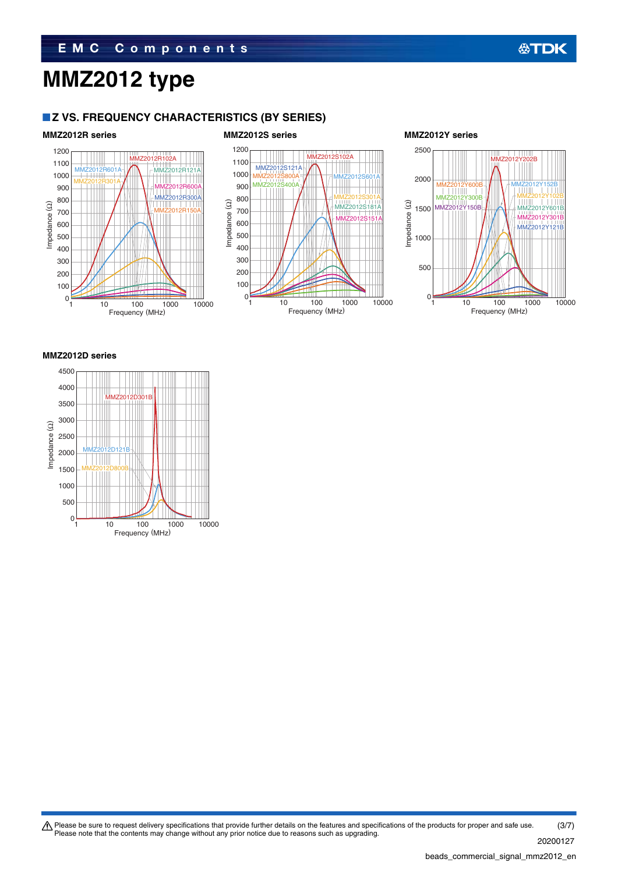### **Z VS. FREQUENCY CHARACTERISTICS (BY SERIES)**



#### **MMZ2012D series**



Please be sure to request delivery specifications that provide further details on the features and specifications of the products for proper and safe use.<br>Please note that the contents may change without any prior notice d (3/7)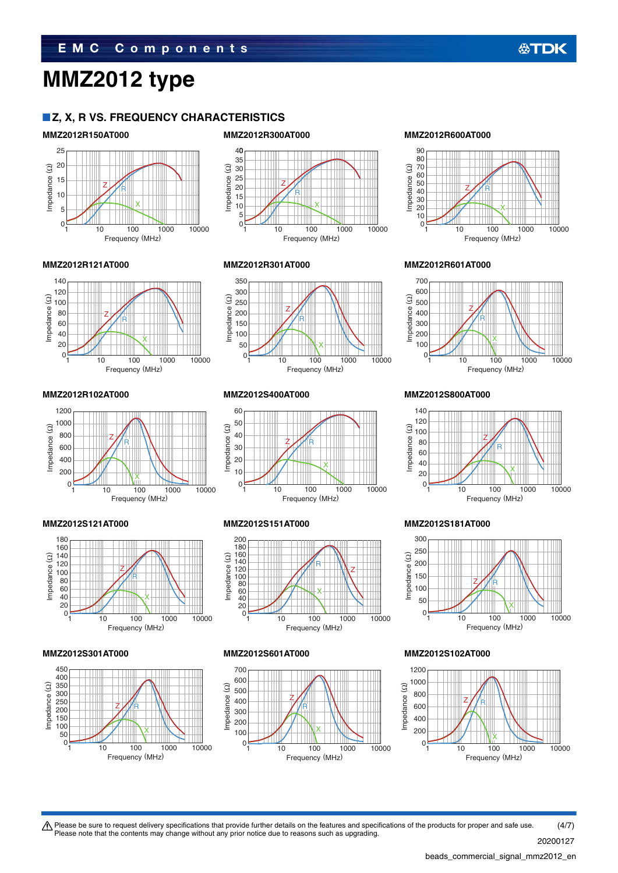### **Z, X, R VS. FREQUENCY CHARACTERISTICS**



#### 40 35 Impedance (2) 30 Impedance (Ω) 25  $\frac{1}{20}$ Z R 15 10 X 5  $\Omega$ 10 100 1000 10000

Frequency (MHz)

#### **MMZ2012R150AT000 MMZ2012R300AT000 MMZ2012R600AT000**





#### **MMZ2012R102AT000 MMZ2012S400AT000 MMZ2012S800AT000**







Z R

Impedance (Ω)

mpedance (2)



 $0_1$  10 100 1000 10000 Frequency (MHz)

X

#### **MMZ2012S121AT000 MMZ2012S151AT000 MMZ2012S181AT000**





#### **MMZ2012R121AT000 MMZ2012R301AT000 MMZ2012R601AT000**







#### **MMZ2012S301AT000 MMZ2012S601AT000 MMZ2012S102AT000**



 $\bigwedge$  Please be sure to request delivery specifications that provide further details on the features and specifications of the products for proper and safe use. Please note that the contents may change without any prior notice due to reasons such as upgrading. (4/7)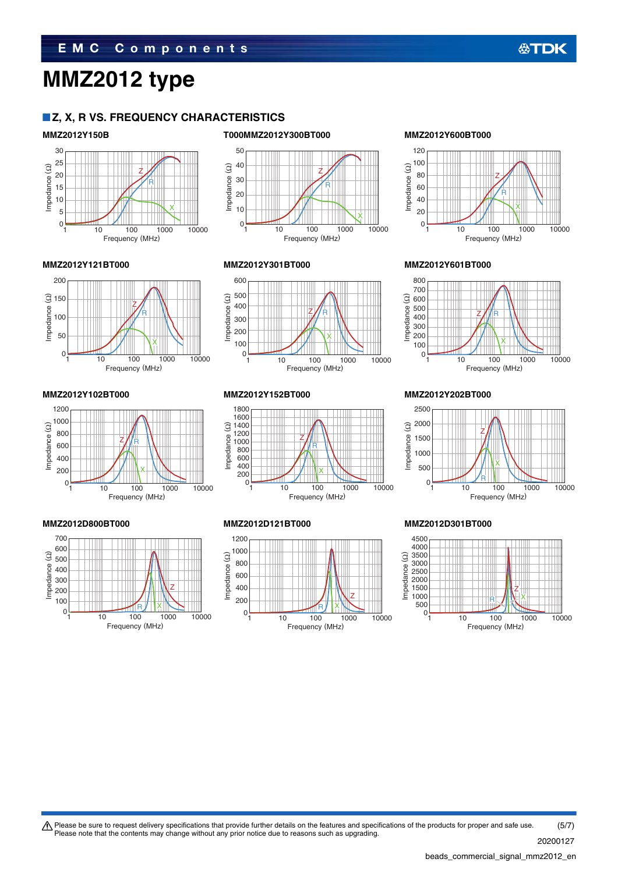### **Z, X, R VS. FREQUENCY CHARACTERISTICS**



#### 50 mpedance  $(\Omega)$ 40 Impedance (Ω) Z 30 R 20 10 X 0 10 100 1000 10000 Frequency (MHz)



### **MMZ2012Y150B T000MMZ2012Y300BT000 MMZ2012Y600BT000**



**公TDK** 

#### **MMZ2012Y121BT000 MMZ2012Y301BT000 MMZ2012Y601BT000**







#### **MMZ2012Y102BT000 MMZ2012Y152BT000 MMZ2012Y202BT000**







800



#### **MMZ2012D800BT000 MMZ2012D121BT000 MMZ2012D301BT000**



t Please be sure to request delivery specifications that provide further details on the features and specifications of the products for proper and safe use. Please note that the contents may change without any prior notice due to reasons such as upgrading. (5/7)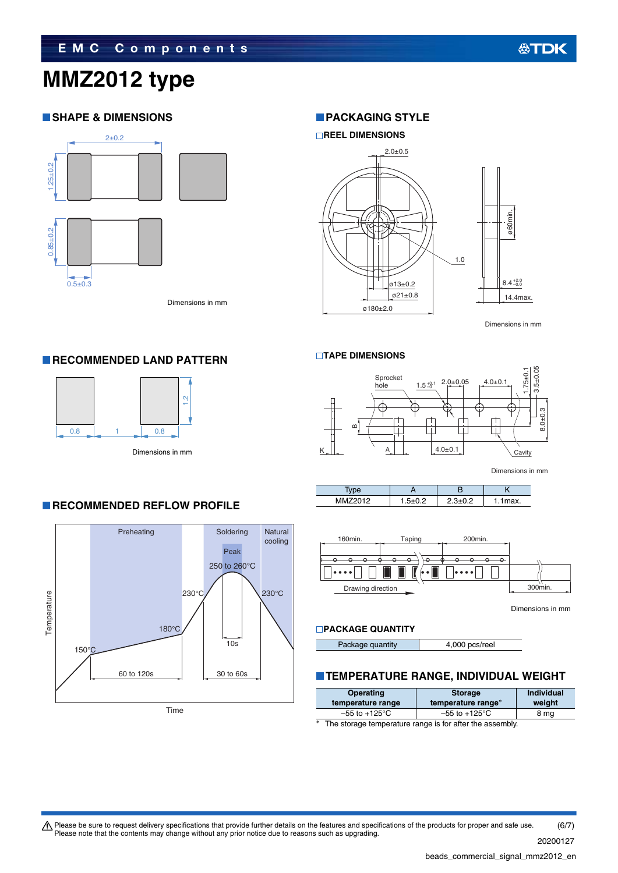### **SHAPE & DIMENSIONS**



Dimensions in mm

1.2

### **PACKAGING STYLE**



Dimensions in mm

#### **TAPE DIMENSIONS**



Dimensions in mm

|         |       | . . |
|---------|-------|-----|
| MAMZOM2 | - - - | ax. |



Dimensions in mm

### **PACKAGE QUANTITY**

Package quantity **4,000 pcs/reel** 

## **TEMPERATURE RANGE, INDIVIDUAL WEIGHT**

|       | Operating<br>temperature range                          | <b>Storage</b><br>temperature range* | Individual<br>weight |
|-------|---------------------------------------------------------|--------------------------------------|----------------------|
|       | $-55$ to $+125^{\circ}$ C                               | $-55$ to $+125^{\circ}$ C            | 8 mg                 |
| ski i | The starses temperature range is for ofter the assembly |                                      |                      |

The storage temperature range is for after the assembly.

## Dimensions in mm

 $0.8$  1 0.8

**RECOMMENDED LAND PATTERN** 

### **RECOMMENDED REFLOW PROFILE**



Please be sure to request delivery specifications that provide further details on the features and specifications of the products for proper and safe use.<br>Please note that the contents may change without any prior notice d (6/7)